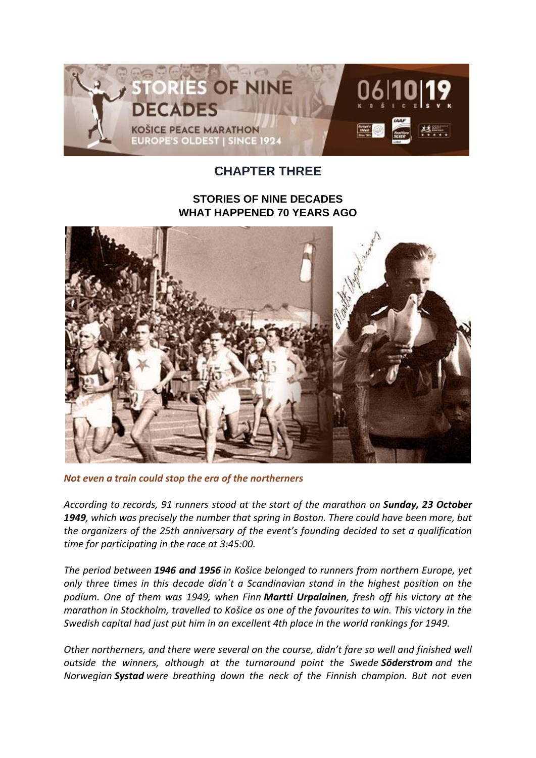

## **CHAPTER THREE**

## **STORIES OF NINE DECADES WHAT HAPPENED 70 YEARS AGO**



*Not even a train could stop the era of the northerners*

*According to records, 91 runners stood at the start of the marathon on Sunday, 23 October 1949, which was precisely the number that spring in Boston. There could have been more, but the organizers of the 25th anniversary of the event's founding decided to set a qualification time for participating in the race at 3:45:00.*

*The period between 1946 and 1956 in Košice belonged to runners from northern Europe, yet only three times in this decade didn´t a Scandinavian stand in the highest position on the podium. One of them was 1949, when Finn Martti Urpalainen, fresh off his victory at the marathon in Stockholm, travelled to Košice as one of the favourites to win. This victory in the Swedish capital had just put him in an excellent 4th place in the world rankings for 1949.*

*Other northerners, and there were several on the course, didn't fare so well and finished well outside the winners, although at the turnaround point the Swede Söderstrom and the Norwegian Systad were breathing down the neck of the Finnish champion. But not even*